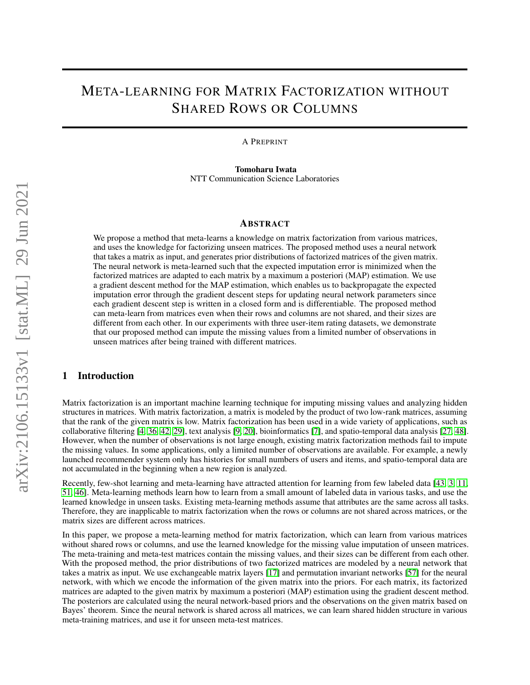# META-LEARNING FOR MATRIX FACTORIZATION WITHOUT SHARED ROWS OR COLUMNS

A PREPRINT

Tomoharu Iwata NTT Communication Science Laboratories

## ABSTRACT

We propose a method that meta-learns a knowledge on matrix factorization from various matrices, and uses the knowledge for factorizing unseen matrices. The proposed method uses a neural network that takes a matrix as input, and generates prior distributions of factorized matrices of the given matrix. The neural network is meta-learned such that the expected imputation error is minimized when the factorized matrices are adapted to each matrix by a maximum a posteriori (MAP) estimation. We use a gradient descent method for the MAP estimation, which enables us to backpropagate the expected imputation error through the gradient descent steps for updating neural network parameters since each gradient descent step is written in a closed form and is differentiable. The proposed method can meta-learn from matrices even when their rows and columns are not shared, and their sizes are different from each other. In our experiments with three user-item rating datasets, we demonstrate that our proposed method can impute the missing values from a limited number of observations in unseen matrices after being trained with different matrices.

## 1 Introduction

Matrix factorization is an important machine learning technique for imputing missing values and analyzing hidden structures in matrices. With matrix factorization, a matrix is modeled by the product of two low-rank matrices, assuming that the rank of the given matrix is low. Matrix factorization has been used in a wide variety of applications, such as collaborative filtering [\[4,](#page-8-0) [36,](#page-10-0) [42,](#page-11-0) [29\]](#page-10-1), text analysis [\[9,](#page-9-0) [20\]](#page-10-2), bioinformatics [\[7\]](#page-8-1), and spatio-temporal data analysis [\[27,](#page-10-3) [48\]](#page-11-1). However, when the number of observations is not large enough, existing matrix factorization methods fail to impute the missing values. In some applications, only a limited number of observations are available. For example, a newly launched recommender system only has histories for small numbers of users and items, and spatio-temporal data are not accumulated in the beginning when a new region is analyzed.

Recently, few-shot learning and meta-learning have attracted attention for learning from few labeled data [\[43,](#page-11-2) [3,](#page-8-2) [11,](#page-9-1) [51,](#page-11-3) [46\]](#page-11-4). Meta-learning methods learn how to learn from a small amount of labeled data in various tasks, and use the learned knowledge in unseen tasks. Existing meta-learning methods assume that attributes are the same across all tasks. Therefore, they are inapplicable to matrix factorization when the rows or columns are not shared across matrices, or the matrix sizes are different across matrices.

In this paper, we propose a meta-learning method for matrix factorization, which can learn from various matrices without shared rows or columns, and use the learned knowledge for the missing value imputation of unseen matrices. The meta-training and meta-test matrices contain the missing values, and their sizes can be different from each other. With the proposed method, the prior distributions of two factorized matrices are modeled by a neural network that takes a matrix as input. We use exchangeable matrix layers [\[17\]](#page-10-4) and permutation invariant networks [\[57\]](#page-11-5) for the neural network, with which we encode the information of the given matrix into the priors. For each matrix, its factorized matrices are adapted to the given matrix by maximum a posteriori (MAP) estimation using the gradient descent method. The posteriors are calculated using the neural network-based priors and the observations on the given matrix based on Bayes' theorem. Since the neural network is shared across all matrices, we can learn shared hidden structure in various meta-training matrices, and use it for unseen meta-test matrices.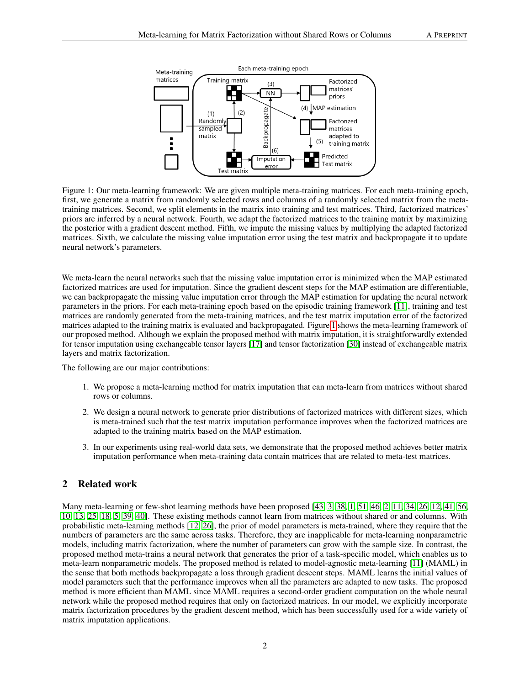<span id="page-1-0"></span>

Figure 1: Our meta-learning framework: We are given multiple meta-training matrices. For each meta-training epoch, first, we generate a matrix from randomly selected rows and columns of a randomly selected matrix from the metatraining matrices. Second, we split elements in the matrix into training and test matrices. Third, factorized matrices' priors are inferred by a neural network. Fourth, we adapt the factorized matrices to the training matrix by maximizing the posterior with a gradient descent method. Fifth, we impute the missing values by multiplying the adapted factorized matrices. Sixth, we calculate the missing value imputation error using the test matrix and backpropagate it to update neural network's parameters.

We meta-learn the neural networks such that the missing value imputation error is minimized when the MAP estimated factorized matrices are used for imputation. Since the gradient descent steps for the MAP estimation are differentiable, we can backpropagate the missing value imputation error through the MAP estimation for updating the neural network parameters in the priors. For each meta-training epoch based on the episodic training framework [\[11\]](#page-9-1), training and test matrices are randomly generated from the meta-training matrices, and the test matrix imputation error of the factorized matrices adapted to the training matrix is evaluated and backpropagated. Figure [1](#page-1-0) shows the meta-learning framework of our proposed method. Although we explain the proposed method with matrix imputation, it is straightforwardly extended for tensor imputation using exchangeable tensor layers [\[17\]](#page-10-4) and tensor factorization [\[30\]](#page-10-5) instead of exchangeable matrix layers and matrix factorization.

The following are our major contributions:

- 1. We propose a meta-learning method for matrix imputation that can meta-learn from matrices without shared rows or columns.
- 2. We design a neural network to generate prior distributions of factorized matrices with different sizes, which is meta-trained such that the test matrix imputation performance improves when the factorized matrices are adapted to the training matrix based on the MAP estimation.
- 3. In our experiments using real-world data sets, we demonstrate that the proposed method achieves better matrix imputation performance when meta-training data contain matrices that are related to meta-test matrices.

## 2 Related work

Many meta-learning or few-shot learning methods have been proposed [\[43,](#page-11-2) [3,](#page-8-2) [38,](#page-10-6) [1,](#page-8-3) [51,](#page-11-3) [46,](#page-11-4) [2,](#page-8-4) [11,](#page-9-1) [34,](#page-10-7) [26,](#page-10-8) [12,](#page-9-2) [41,](#page-11-6) [56,](#page-11-7) [10,](#page-9-3) [13,](#page-9-4) [25,](#page-10-9) [18,](#page-10-10) [5,](#page-8-5) [39,](#page-11-8) [40\]](#page-11-9). These existing methods cannot learn from matrices without shared or and columns. With probabilistic meta-learning methods [\[12,](#page-9-2) [26\]](#page-10-8), the prior of model parameters is meta-trained, where they require that the numbers of parameters are the same across tasks. Therefore, they are inapplicable for meta-learning nonparametric models, including matrix factorization, where the number of parameters can grow with the sample size. In contrast, the proposed method meta-trains a neural network that generates the prior of a task-specific model, which enables us to meta-learn nonparametric models. The proposed method is related to model-agnostic meta-learning [\[11\]](#page-9-1) (MAML) in the sense that both methods backpropagate a loss through gradient descent steps. MAML learns the initial values of model parameters such that the performance improves when all the parameters are adapted to new tasks. The proposed method is more efficient than MAML since MAML requires a second-order gradient computation on the whole neural network while the proposed method requires that only on factorized matrices. In our model, we explicitly incorporate matrix factorization procedures by the gradient descent method, which has been successfully used for a wide variety of matrix imputation applications.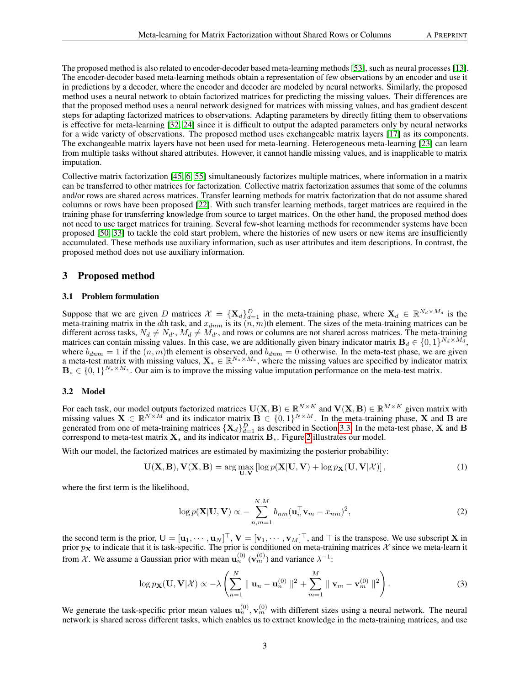The proposed method is also related to encoder-decoder based meta-learning methods [\[53\]](#page-11-10), such as neural processes [\[13\]](#page-9-4). The encoder-decoder based meta-learning methods obtain a representation of few observations by an encoder and use it in predictions by a decoder, where the encoder and decoder are modeled by neural networks. Similarly, the proposed method uses a neural network to obtain factorized matrices for predicting the missing values. Their differences are that the proposed method uses a neural network designed for matrices with missing values, and has gradient descent steps for adapting factorized matrices to observations. Adapting parameters by directly fitting them to observations is effective for meta-learning [\[32,](#page-10-11) [24\]](#page-10-12) since it is difficult to output the adapted parameters only by neural networks for a wide variety of observations. The proposed method uses exchangeable matrix layers [\[17\]](#page-10-4) as its components. The exchangeable matrix layers have not been used for meta-learning. Heterogeneous meta-learning [\[23\]](#page-10-13) can learn from multiple tasks without shared attributes. However, it cannot handle missing values, and is inapplicable to matrix imputation.

Collective matrix factorization [\[45,](#page-11-11) [6,](#page-8-6) [55\]](#page-11-12) simultaneously factorizes multiple matrices, where information in a matrix can be transferred to other matrices for factorization. Collective matrix factorization assumes that some of the columns and/or rows are shared across matrices. Transfer learning methods for matrix factorization that do not assume shared columns or rows have been proposed [\[22\]](#page-10-14). With such transfer learning methods, target matrices are required in the training phase for transferring knowledge from source to target matrices. On the other hand, the proposed method does not need to use target matrices for training. Several few-shot learning methods for recommender systems have been proposed [\[50,](#page-11-13) [33\]](#page-10-15) to tackle the cold start problem, where the histories of new users or new items are insufficiently accumulated. These methods use auxiliary information, such as user attributes and item descriptions. In contrast, the proposed method does not use auxiliary information.

### 3 Proposed method

#### 3.1 Problem formulation

Suppose that we are given D matrices  $X = {\mathbf{X}_d}_{d=1}^D$  in the meta-training phase, where  $\mathbf{X}_d \in \mathbb{R}^{N_d \times M_d}$  is the meta-training matrix in the dth task, and  $x_{dmm}$  is its  $(n, m)$ th element. The sizes of the meta-training matrices can be different across tasks,  $N_d \neq N_{d'}$ ,  $M_d \neq M_{d'}$ , and rows or columns are not shared across matrices. The meta-training matrices can contain missing values. In this case, we are additionally given binary indicator matrix  $B_d \in \{0,1\}^{N_d \times M_d}$ , where  $b_{dmm} = 1$  if the  $(n, m)$ th element is observed, and  $b_{dmm} = 0$  otherwise. In the meta-test phase, we are given a meta-test matrix with missing values,  $X_* \in \mathbb{R}^{N_* \times M_*}$ , where the missing values are specified by indicator matrix  $\mathbf{B}_{*} \in \{0,1\}^{N_{*} \times M_{*}}$ . Our aim is to improve the missing value imputation performance on the meta-test matrix.

#### 3.2 Model

For each task, our model outputs factorized matrices  $U(X, B) \in \mathbb{R}^{N \times K}$  and  $V(X, B) \in \mathbb{R}^{M \times K}$  given matrix with missing values  $X \in \mathbb{R}^{N \times M}$  and its indicator matrix  $B \in \{0,1\}^{N \times M}$ . In the meta-training phase, X and B are generated from one of meta-training matrices  $\{X_d\}_{d=1}^D$  as described in Section [3.3.](#page-4-0) In the meta-test phase, X and B correspond to meta-test matrix  $X_*$  and its indicator matrix  $B_*$ . Figure [2](#page-3-0) illustrates our model.

With our model, the factorized matrices are estimated by maximizing the posterior probability:

$$
\mathbf{U}(\mathbf{X}, \mathbf{B}), \mathbf{V}(\mathbf{X}, \mathbf{B}) = \arg\max_{\mathbf{U}, \mathbf{V}} \left[ \log p(\mathbf{X}|\mathbf{U}, \mathbf{V}) + \log p_{\mathbf{X}}(\mathbf{U}, \mathbf{V}|\mathcal{X}) \right],\tag{1}
$$

where the first term is the likelihood,

<span id="page-2-0"></span>
$$
\log p(\mathbf{X}|\mathbf{U},\mathbf{V}) \propto -\sum_{n,m=1}^{N,M} b_{nm}(\mathbf{u}_n^{\top}\mathbf{v}_m - x_{nm})^2,
$$
\n(2)

the second term is the prior,  $\mathbf{U} = [\mathbf{u}_1, \cdots, \mathbf{u}_N]^{\top}$ ,  $\mathbf{V} = [\mathbf{v}_1, \cdots, \mathbf{v}_M]^{\top}$ , and  $\top$  is the transpose. We use subscript X in prior  $p_X$  to indicate that it is task-specific. The prior is conditioned on meta-training matrices X since we meta-learn it from X. We assume a Gaussian prior with mean  $\mathbf{u}_n^{(0)}(\mathbf{v}_m^{(0)})$  and variance  $\lambda^{-1}$ :

$$
\log p_{\mathbf{X}}(\mathbf{U}, \mathbf{V} | \mathcal{X}) \propto -\lambda \left( \sum_{n=1}^{N} \parallel \mathbf{u}_n - \mathbf{u}_n^{(0)} \parallel^2 + \sum_{m=1}^{M} \parallel \mathbf{v}_m - \mathbf{v}_m^{(0)} \parallel^2 \right).
$$
 (3)

We generate the task-specific prior mean values  $\mathbf{u}_n^{(0)}, \mathbf{v}_m^{(0)}$  with different sizes using a neural network. The neural network is shared across different tasks, which enables us to extract knowledge in the meta-training matrices, and use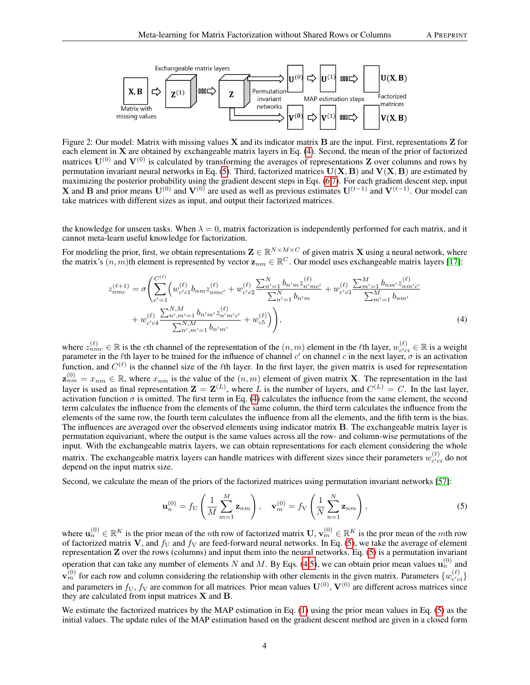<span id="page-3-0"></span>

Figure 2: Our model: Matrix with missing values  $X$  and its indicator matrix  $B$  are the input. First, representations  $Z$  for each element in X are obtained by exchangeable matrix layers in Eq. [\(4\)](#page-3-1). Second, the mean of the prior of factorized matrices  $U^{(0)}$  and  $V^{(0)}$  is calculated by transforming the averages of representations Z over columns and rows by permutation invariant neural networks in Eq. [\(5\)](#page-3-2). Third, factorized matrices  $U(X, B)$  and  $V(X, B)$  are estimated by maximizing the posterior probability using the gradient descent steps in Eqs. [\(6,](#page-4-1)[7\)](#page-4-2). For each gradient descent step, input X and B and prior means  $U^{(0)}$  and  $V^{(0)}$  are used as well as previous estimates  $U^{(t-1)}$  and  $V^{(t-1)}$ . Our model can take matrices with different sizes as input, and output their factorized matrices.

the knowledge for unseen tasks. When  $\lambda = 0$ , matrix factorization is independently performed for each matrix, and it cannot meta-learn useful knowledge for factorization.

For modeling the prior, first, we obtain representations  $\mathbf{Z} \in \mathbb{R}^{N \times M \times C}$  of given matrix  $\mathbf{X}$  using a neural network, where the matrix's  $(n, m)$ th element is represented by vector  $z_{nm} \in \mathbb{R}^C$ . Our model uses exchangeable matrix layers [\[17\]](#page-10-4):

$$
z_{nmc}^{(\ell+1)} = \sigma \left( \sum_{c'=1}^{C^{(\ell)}} \left( w_{c'c}^{(\ell)} b_{nm} z_{nmc'}^{(\ell)} + w_{c'c2}^{(\ell)} \frac{\sum_{n'=1}^{N} b_{n'm} z_{n'mc'}^{(\ell)}}{\sum_{n'=1}^{N} b_{n'm}} + w_{c'c3}^{(\ell)} \frac{\sum_{m'=1}^{M} b_{nm'} z_{nm'c'}^{(\ell)}}{\sum_{m'=1}^{M} b_{nm'}} + w_{c'c4}^{(\ell)} \frac{\sum_{n',m'=1}^{N,M} b_{n'm'} z_{n'm'c'}^{(\ell)}}{\sum_{n',m'=1}^{N,M} b_{n'm'}} + w_{c5}^{(\ell)} \right),
$$
\n
$$
(4)
$$

where  $z_{nmc}^{(\ell)} \in \mathbb{R}$  is the cth channel of the representation of the  $(n,m)$  element in the  $\ell$ th layer,  $w_{c'c}^{(\ell)}$  $c'_{ci} \in \mathbb{R}$  is a weight parameter in the  $\ell$ th layer to be trained for the influence of channel  $c'$  on channel  $c$  in the next layer,  $\sigma$  is an activation function, and  $C^{(\ell)}$  is the channel size of the  $\ell$ th layer. In the first layer, the given matrix is used for representation  $z_{nm}^{(0)} = x_{nm} \in \mathbb{R}$ , where  $x_{nm}$  is the value of the  $(n,m)$  element of given matrix **X**. The representation in the last layer is used as final representation  $\mathbf{Z} = \mathbf{Z}^{(L)}$ , where L is the number of layers, and  $C^{(L)} = C$ . In the last layer, activation function  $\sigma$  is omitted. The first term in Eq. [\(4\)](#page-3-1) calculates the influence from the same element, the second term calculates the influence from the elements of the same column, the third term calculates the influence from the elements of the same row, the fourth term calculates the influence from all the elements, and the fifth term is the bias. The influences are averaged over the observed elements using indicator matrix B. The exchangeable matrix layer is permutation equivariant, where the output is the same values across all the row- and column-wise permutations of the input. With the exchangeable matrix layers, we can obtain representations for each element considering the whole matrix. The exchangeable matrix layers can handle matrices with different sizes since their parameters  $w_{c,c}^{(\ell)}$  $c'_{ci}$  do not depend on the input matrix size.

Second, we calculate the mean of the priors of the factorized matrices using permutation invariant networks [\[57\]](#page-11-5):

<span id="page-3-2"></span><span id="page-3-1"></span>
$$
\mathbf{u}_n^{(0)} = f_U\left(\frac{1}{M}\sum_{m=1}^M \mathbf{z}_{nm}\right), \quad \mathbf{v}_m^{(0)} = f_V\left(\frac{1}{N}\sum_{n=1}^N \mathbf{z}_{nm}\right),\tag{5}
$$

where  $\mathbf{u}_n^{(0)} \in \mathbb{R}^K$  is the prior mean of the *n*th row of factorized matrix  $\mathbf{U}, \mathbf{v}_m^{(0)} \in \mathbb{R}^K$  is the pror mean of the *mth* row of factorized matrix V, and  $f_U$  and  $f_V$  are feed-forward neural networks. In Eq. [\(5\)](#page-3-2), we take the average of element representation Z over the rows (columns) and input them into the neural networks. Eq. [\(5\)](#page-3-2) is a permutation invariant operation that can take any number of elements N and M. By Eqs. [\(4,](#page-3-1)[5\)](#page-3-2), we can obtain prior mean values  $\mathbf{u}_n^{(0)}$  and  $\mathbf{v}_m^{(0)}$  for each row and column considering the relationship with other elements in the given matrix. Parameters  $\{w_{c'c}^{(\ell)}\}$  $\begin{bmatrix} (\ell) \\ c'ci \end{bmatrix}$ and parameters in  $f_U$ ,  $f_V$  are common for all matrices. Prior mean values  $\mathbf{U}^{(0)}$ ,  $\mathbf{V}^{(0)}$  are different across matrices since they are calculated from input matrices  $X$  and  $B$ .

We estimate the factorized matrices by the MAP estimation in Eq. [\(1\)](#page-2-0) using the prior mean values in Eq. [\(5\)](#page-3-2) as the initial values. The update rules of the MAP estimation based on the gradient descent method are given in a closed form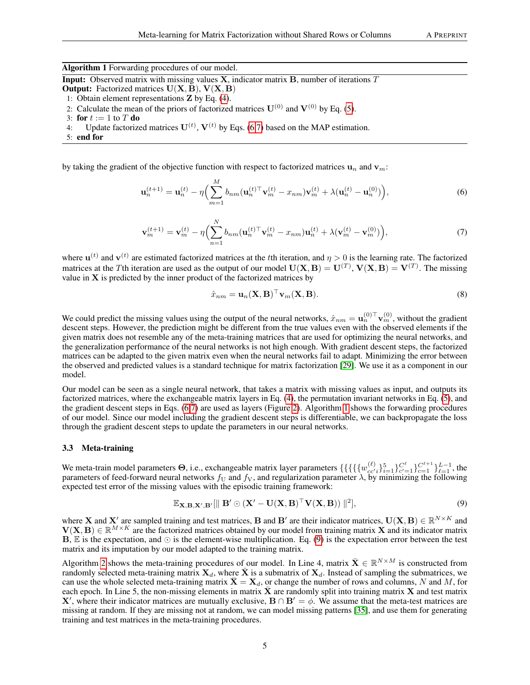Algorithm 1 Forwarding procedures of our model.

<span id="page-4-3"></span>**Input:** Observed matrix with missing values  $X$ , indicator matrix  $B$ , number of iterations  $T$ 

- **Output:** Factorized matrices  $U(X, B)$ ,  $V(X, B)$
- 1: Obtain element representations Z by Eq. [\(4\)](#page-3-1).
- 2: Calculate the mean of the priors of factorized matrices  $U^{(0)}$  and  $V^{(0)}$  by Eq. [\(5\)](#page-3-2).
- 3: for  $t := 1$  to  $T$  do
- 4: Update factorized matrices  $U^{(t)}$ ,  $V^{(t)}$  by Eqs. [\(6](#page-4-1)[,7\)](#page-4-2) based on the MAP estimation.
- 5: end for

by taking the gradient of the objective function with respect to factorized matrices  $\mathbf{u}_n$  and  $\mathbf{v}_m$ :

$$
\mathbf{u}_n^{(t+1)} = \mathbf{u}_n^{(t)} - \eta \Big( \sum_{m=1}^M b_{nm} (\mathbf{u}_n^{(t)\top} \mathbf{v}_m^{(t)} - x_{nm}) \mathbf{v}_m^{(t)} + \lambda (\mathbf{u}_n^{(t)} - \mathbf{u}_n^{(0)}) \Big), \tag{6}
$$

$$
\mathbf{v}_{m}^{(t+1)} = \mathbf{v}_{m}^{(t)} - \eta \Big( \sum_{n=1}^{N} b_{nm} (\mathbf{u}_{n}^{(t)\top} \mathbf{v}_{m}^{(t)} - x_{nm}) \mathbf{u}_{n}^{(t)} + \lambda (\mathbf{v}_{m}^{(t)} - \mathbf{v}_{m}^{(0)}) \Big), \tag{7}
$$

where  $\mathbf{u}^{(t)}$  and  $\mathbf{v}^{(t)}$  are estimated factorized matrices at the tth iteration, and  $\eta > 0$  is the learning rate. The factorized matrices at the Tth iteration are used as the output of our model  $U(X, B) = U^{(T)}$ ,  $V(X, B) = V^{(T)}$ . The missing value in  $X$  is predicted by the inner product of the factorized matrices by

<span id="page-4-2"></span><span id="page-4-1"></span>
$$
\hat{x}_{nm} = \mathbf{u}_n(\mathbf{X}, \mathbf{B})^\top \mathbf{v}_m(\mathbf{X}, \mathbf{B}).\tag{8}
$$

We could predict the missing values using the output of the neural networks,  $\hat{x}_{nm} = \mathbf{u}_n^{(0) \top} \mathbf{v}_m^{(0)}$ , without the gradient descent steps. However, the prediction might be different from the true values even with the observed elements if the given matrix does not resemble any of the meta-training matrices that are used for optimizing the neural networks, and the generalization performance of the neural networks is not high enough. With gradient descent steps, the factorized matrices can be adapted to the given matrix even when the neural networks fail to adapt. Minimizing the error between the observed and predicted values is a standard technique for matrix factorization [\[29\]](#page-10-1). We use it as a component in our model.

Our model can be seen as a single neural network, that takes a matrix with missing values as input, and outputs its factorized matrices, where the exchangeable matrix layers in Eq. [\(4\)](#page-3-1), the permutation invariant networks in Eq. [\(5\)](#page-3-2), and the gradient descent steps in Eqs. [\(6,](#page-4-1)[7\)](#page-4-2) are used as layers (Figure [2\)](#page-3-0). Algorithm [1](#page-4-3) shows the forwarding procedures of our model. Since our model including the gradient descent steps is differentiable, we can backpropagate the loss through the gradient descent steps to update the parameters in our neural networks.

#### <span id="page-4-0"></span>3.3 Meta-training

We meta-train model parameters  $\Theta$ , i.e., exchangeable matrix layer parameters  $\{\{\{\{w_{cc'}\}_{i=1}^5\}_{c'=1}^{C^{\ell}}\}_{c=1}^{C^{\ell+1}}\}_{c=1}^{L-1}$ , the parameters of feed-forward neural networks  $f_U$  and  $f_V$ , and regularization parameter  $\lambda$ , by minimizing the following expected test error of the missing values with the episodic training framework:

<span id="page-4-4"></span>
$$
\mathbb{E}_{\mathbf{X},\mathbf{B},\mathbf{X}',\mathbf{B}'}[\|\mathbf{B}'\odot(\mathbf{X}'-\mathbf{U}(\mathbf{X},\mathbf{B})^\top\mathbf{V}(\mathbf{X},\mathbf{B}))\|^2],\tag{9}
$$

where **X** and **X**' are sampled training and test matrices, **B** and **B**' are their indicator matrices,  $U(X, B) \in \mathbb{R}^{N \times K}$  and  $V(X, B) \in \mathbb{R}^{M \times K}$  are the factorized matrices obtained by our model from training matrix X and its indicator matrix  $\mathbf{B}$ ,  $\mathbb E$  is the expectation, and  $\odot$  is the element-wise multiplication. Eq. [\(9\)](#page-4-4) is the expectation error between the test matrix and its imputation by our model adapted to the training matrix.

Algorithm [2](#page-5-0) shows the meta-training procedures of our model. In Line 4, matrix  $\bar{\mathbf{X}} \in \mathbb{R}^{N \times M}$  is constructed from randomly selected meta-training matrix  $X_d$ , where  $\bar{X}$  is a submatrix of  $X_d$ . Instead of sampling the submatrices, we can use the whole selected meta-training matrix  $\bar{\mathbf{X}} = \mathbf{X}_d$ , or change the number of rows and columns, N and M, for each epoch. In Line 5, the non-missing elements in matrix  $\bar{X}$  are randomly split into training matrix X and test matrix **X'**, where their indicator matrices are mutually exclusive,  $B \cap B' = \phi$ . We assume that the meta-test matrices are missing at random. If they are missing not at random, we can model missing patterns [\[35\]](#page-10-16), and use them for generating training and test matrices in the meta-training procedures.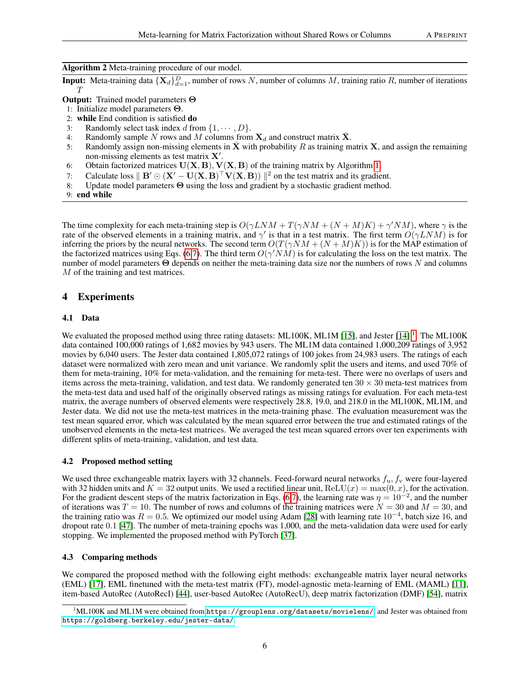#### Algorithm 2 Meta-training procedure of our model.

<span id="page-5-0"></span>**Input:** Meta-training data  $\{X_d\}_{d=1}^D$ , number of rows N, number of columns M, training ratio R, number of iterations  $\tau$ 

Output: Trained model parameters Θ

- 1: Initialize model parameters Θ.
- 2: while End condition is satisfied do
- 3: Randomly select task index d from  $\{1, \dots, D\}$ .
- 4: Randomly sample N rows and M columns from  $X_d$  and construct matrix  $\bar{X}$ .
- 5: Randomly assign non-missing elements in  $\bar{\mathbf{X}}$  with probability R as training matrix **X**, and assign the remaining non-missing elements as test matrix  $X'$ .
- 6: Obtain factorized matrices  $U(X, B)$ ,  $V(X, B)$  of the training matrix by Algorithm [1.](#page-4-3)
- 7: Calculate loss  $\parallel B' \odot (X'-U(X, B)^\top V(X, B)) \parallel^2$  on the test matrix and its gradient.
- 8: Update model parameters Θ using the loss and gradient by a stochastic gradient method.

9: end while

The time complexity for each meta-training step is  $O(\gamma LNM + T(\gamma NM + (N + M)K) + \gamma'NM)$ , where  $\gamma$  is the rate of the observed elements in a training matrix, and  $\gamma'$  is that in a test matrix. The first term  $O(\gamma LNM)$  is for inferring the priors by the neural networks. The second term  $O(T(\gamma NM + (N + M)K))$  is for the MAP estimation of the factorized matrices using Eqs. [\(6,](#page-4-1)[7\)](#page-4-2). The third term  $O(\gamma'NM)$  is for calculating the loss on the test matrix. The number of model parameters  $\Theta$  depends on neither the meta-training data size nor the numbers of rows N and columns M of the training and test matrices.

## 4 Experiments

#### 4.1 Data

We evaluated the proposed method using three rating datasets: ML100K, ML1M [\[15\]](#page-10-17), and Jester [\[14\]](#page-10-18)<sup>[1](#page-5-1)</sup>. The ML100K data contained 100,000 ratings of 1,682 movies by 943 users. The ML1M data contained 1,000,209 ratings of 3,952 movies by 6,040 users. The Jester data contained 1,805,072 ratings of 100 jokes from 24,983 users. The ratings of each dataset were normalized with zero mean and unit variance. We randomly split the users and items, and used 70% of them for meta-training, 10% for meta-validation, and the remaining for meta-test. There were no overlaps of users and items across the meta-training, validation, and test data. We randomly generated ten  $30 \times 30$  meta-test matrices from the meta-test data and used half of the originally observed ratings as missing ratings for evaluation. For each meta-test matrix, the average numbers of observed elements were respectively 28.8, 19.0, and 218.0 in the ML100K, ML1M, and Jester data. We did not use the meta-test matrices in the meta-training phase. The evaluation measurement was the test mean squared error, which was calculated by the mean squared error between the true and estimated ratings of the unobserved elements in the meta-test matrices. We averaged the test mean squared errors over ten experiments with different splits of meta-training, validation, and test data.

#### 4.2 Proposed method setting

We used three exchangeable matrix layers with 32 channels. Feed-forward neural networks  $f_u$ ,  $f_v$  were four-layered with 32 hidden units and  $K = 32$  output units. We used a rectified linear unit,  $ReLU(x) = max(0, x)$ , for the activation. For the gradient descent steps of the matrix factorization in Eqs. [\(6](#page-4-1)[,7\)](#page-4-2), the learning rate was  $\eta = 10^{-2}$ , and the number of iterations was  $T = 10$ . The number of rows and columns of the training matrices were  $N = 30$  and  $M = 30$ , and the training ratio was  $R = 0.5$ . We optimized our model using Adam [\[28\]](#page-10-19) with learning rate  $10^{-4}$ , batch size 16, and dropout rate 0.1 [\[47\]](#page-11-14). The number of meta-training epochs was 1,000, and the meta-validation data were used for early stopping. We implemented the proposed method with PyTorch [\[37\]](#page-10-20).

#### 4.3 Comparing methods

We compared the proposed method with the following eight methods: exchangeable matrix layer neural networks (EML) [\[17\]](#page-10-4), EML finetuned with the meta-test matrix (FT), model-agnostic meta-learning of EML (MAML) [\[11\]](#page-9-1), item-based AutoRec (AutoRecI) [\[44\]](#page-11-15), user-based AutoRec (AutoRecU), deep matrix factorization (DMF) [\[54\]](#page-11-16), matrix

<span id="page-5-1"></span><sup>&</sup>lt;sup>1</sup>ML100K and ML1M were obtained from <https://grouplens.org/datasets/movielens/>, and Jester was obtained from <https://goldberg.berkeley.edu/jester-data/>.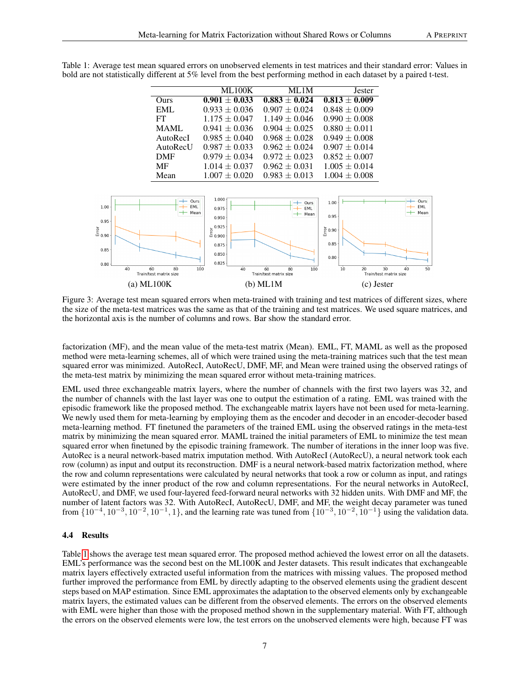<span id="page-6-1"></span>

|            | <b>ML100K</b>     | ML 1M             | Jester            |
|------------|-------------------|-------------------|-------------------|
| Ours       | $0.901 \pm 0.033$ | $0.883 \pm 0.024$ | $0.813 \pm 0.009$ |
| EML        | $0.933 \pm 0.036$ | $0.907 \pm 0.024$ | $0.848 \pm 0.009$ |
| FT.        | $1.175 \pm 0.047$ | $1.149 \pm 0.046$ | $0.990 \pm 0.008$ |
| MAML.      | $0.941 \pm 0.036$ | $0.904 \pm 0.025$ | $0.880 \pm 0.011$ |
| AutoRecI   | $0.985 \pm 0.040$ | $0.968 \pm 0.028$ | $0.949 \pm 0.008$ |
| AutoRecU   | $0.987 + 0.033$   | $0.962 + 0.024$   | $0.907 \pm 0.014$ |
| <b>DMF</b> | $0.979 \pm 0.034$ | $0.972 \pm 0.023$ | $0.852 \pm 0.007$ |
| MF         | $1.014 \pm 0.037$ | $0.962 \pm 0.031$ | $1.005 \pm 0.014$ |
| Mean       | $1.007 + 0.020$   | $0.983 \pm 0.013$ | $1.004 \pm 0.008$ |

<span id="page-6-0"></span>Table 1: Average test mean squared errors on unobserved elements in test matrices and their standard error: Values in bold are not statistically different at 5% level from the best performing method in each dataset by a paired t-test.



Figure 3: Average test mean squared errors when meta-trained with training and test matrices of different sizes, where the size of the meta-test matrices was the same as that of the training and test matrices. We used square matrices, and the horizontal axis is the number of columns and rows. Bar show the standard error.

factorization (MF), and the mean value of the meta-test matrix (Mean). EML, FT, MAML as well as the proposed method were meta-learning schemes, all of which were trained using the meta-training matrices such that the test mean squared error was minimized. AutoRecI, AutoRecU, DMF, MF, and Mean were trained using the observed ratings of the meta-test matrix by minimizing the mean squared error without meta-training matrices.

EML used three exchangeable matrix layers, where the number of channels with the first two layers was 32, and the number of channels with the last layer was one to output the estimation of a rating. EML was trained with the episodic framework like the proposed method. The exchangeable matrix layers have not been used for meta-learning. We newly used them for meta-learning by employing them as the encoder and decoder in an encoder-decoder based meta-learning method. FT finetuned the parameters of the trained EML using the observed ratings in the meta-test matrix by minimizing the mean squared error. MAML trained the initial parameters of EML to minimize the test mean squared error when finetuned by the episodic training framework. The number of iterations in the inner loop was five. AutoRec is a neural network-based matrix imputation method. With AutoRecI (AutoRecU), a neural network took each row (column) as input and output its reconstruction. DMF is a neural network-based matrix factorization method, where the row and column representations were calculated by neural networks that took a row or column as input, and ratings were estimated by the inner product of the row and column representations. For the neural networks in AutoRecI, AutoRecU, and DMF, we used four-layered feed-forward neural networks with 32 hidden units. With DMF and MF, the number of latent factors was 32. With AutoRecI, AutoRecU, DMF, and MF, the weight decay parameter was tuned from  $\{10^{-4}, 10^{-3}, 10^{-2}, 10^{-1}, 1\}$ , and the learning rate was tuned from  $\{10^{-3}, 10^{-2}, 10^{-1}\}$  using the validation data.

#### 4.4 Results

Table [1](#page-6-0) shows the average test mean squared error. The proposed method achieved the lowest error on all the datasets. EML's performance was the second best on the ML100K and Jester datasets. This result indicates that exchangeable matrix layers effectively extracted useful information from the matrices with missing values. The proposed method further improved the performance from EML by directly adapting to the observed elements using the gradient descent steps based on MAP estimation. Since EML approximates the adaptation to the observed elements only by exchangeable matrix layers, the estimated values can be different from the observed elements. The errors on the observed elements with EML were higher than those with the proposed method shown in the supplementary material. With FT, although the errors on the observed elements were low, the test errors on the unobserved elements were high, because FT was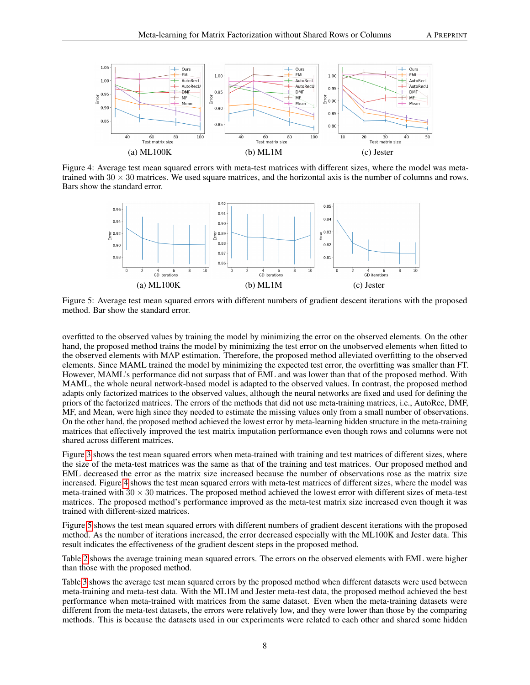

Figure 4: Average test mean squared errors with meta-test matrices with different sizes, where the model was metatrained with  $30 \times 30$  matrices. We used square matrices, and the horizontal axis is the number of columns and rows. Bars show the standard error.

<span id="page-7-1"></span><span id="page-7-0"></span>

Figure 5: Average test mean squared errors with different numbers of gradient descent iterations with the proposed method. Bar show the standard error.

overfitted to the observed values by training the model by minimizing the error on the observed elements. On the other hand, the proposed method trains the model by minimizing the test error on the unobserved elements when fitted to the observed elements with MAP estimation. Therefore, the proposed method alleviated overfitting to the observed elements. Since MAML trained the model by minimizing the expected test error, the overfitting was smaller than FT. However, MAML's performance did not surpass that of EML and was lower than that of the proposed method. With MAML, the whole neural network-based model is adapted to the observed values. In contrast, the proposed method adapts only factorized matrices to the observed values, although the neural networks are fixed and used for defining the priors of the factorized matrices. The errors of the methods that did not use meta-training matrices, i.e., AutoRec, DMF, MF, and Mean, were high since they needed to estimate the missing values only from a small number of observations. On the other hand, the proposed method achieved the lowest error by meta-learning hidden structure in the meta-training matrices that effectively improved the test matrix imputation performance even though rows and columns were not shared across different matrices.

Figure [3](#page-6-1) shows the test mean squared errors when meta-trained with training and test matrices of different sizes, where the size of the meta-test matrices was the same as that of the training and test matrices. Our proposed method and EML decreased the error as the matrix size increased because the number of observations rose as the matrix size increased. Figure [4](#page-7-0) shows the test mean squared errors with meta-test matrices of different sizes, where the model was meta-trained with  $30 \times 30$  matrices. The proposed method achieved the lowest error with different sizes of meta-test matrices. The proposed method's performance improved as the meta-test matrix size increased even though it was trained with different-sized matrices.

Figure [5](#page-7-1) shows the test mean squared errors with different numbers of gradient descent iterations with the proposed method. As the number of iterations increased, the error decreased especially with the ML100K and Jester data. This result indicates the effectiveness of the gradient descent steps in the proposed method.

Table [2](#page-8-7) shows the average training mean squared errors. The errors on the observed elements with EML were higher than those with the proposed method.

Table [3](#page-9-5) shows the average test mean squared errors by the proposed method when different datasets were used between meta-training and meta-test data. With the ML1M and Jester meta-test data, the proposed method achieved the best performance when meta-trained with matrices from the same dataset. Even when the meta-training datasets were different from the meta-test datasets, the errors were relatively low, and they were lower than those by the comparing methods. This is because the datasets used in our experiments were related to each other and shared some hidden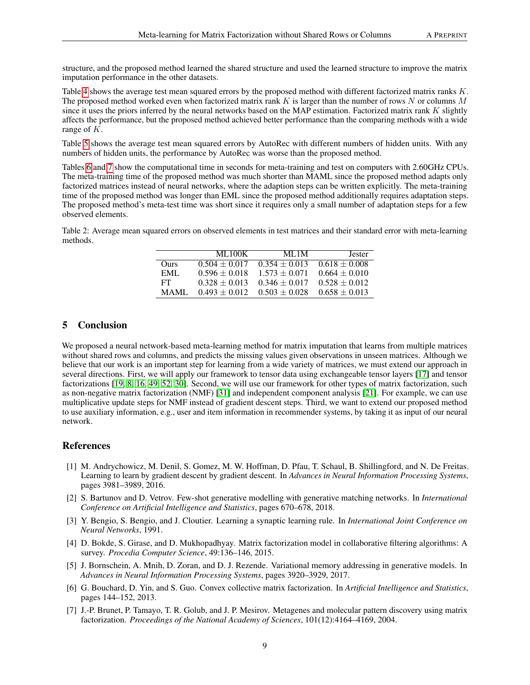structure, and the proposed method learned the shared structure and used the learned structure to improve the matrix imputation performance in the other datasets.

Table [4](#page-9-6) shows the average test mean squared errors by the proposed method with different factorized matrix ranks K. The proposed method worked even when factorized matrix rank  $K$  is larger than the number of rows  $N$  or columns  $M$ since it uses the priors inferred by the neural networks based on the MAP estimation. Factorized matrix rank  $K$  slightly affects the performance, but the proposed method achieved better performance than the comparing methods with a wide range of K.

Table [5](#page-9-7) shows the average test mean squared errors by AutoRec with different numbers of hidden units. With any numbers of hidden units, the performance by AutoRec was worse than the proposed method.

Tables [6](#page-9-8) and [7](#page-9-9) show the computational time in seconds for meta-training and test on computers with 2.60GHz CPUs. The meta-training time of the proposed method was much shorter than MAML since the proposed method adapts only factorized matrices instead of neural networks, where the adaption steps can be written explicitly. The meta-training time of the proposed method was longer than EML since the proposed method additionally requires adaptation steps. The proposed method's meta-test time was short since it requires only a small number of adaptation steps for a few observed elements.

<span id="page-8-7"></span>Table 2: Average mean squared errors on observed elements in test matrices and their standard error with meta-learning methods.

|             | ML100K          | ML 1M           | <b>Jester</b>   |
|-------------|-----------------|-----------------|-----------------|
| <b>Ours</b> | $0.504 + 0.017$ | $0.354 + 0.013$ | $0.618 + 0.008$ |
| EMI.        | $0.596 + 0.018$ | $1,573 + 0,071$ | $0.664 + 0.010$ |
| FT.         | $0.328 + 0.013$ | $0.346 + 0.017$ | $0.528 + 0.012$ |
| <b>MAMI</b> | $0.493 + 0.012$ | $0.503 + 0.028$ | $0.658 + 0.013$ |

## 5 Conclusion

We proposed a neural network-based meta-learning method for matrix imputation that learns from multiple matrices without shared rows and columns, and predicts the missing values given observations in unseen matrices. Although we believe that our work is an important step for learning from a wide variety of matrices, we must extend our approach in several directions. First, we will apply our framework to tensor data using exchangeable tensor layers [\[17\]](#page-10-4) and tensor factorizations [\[19,](#page-10-21) [8,](#page-9-10) [16,](#page-10-22) [49,](#page-11-17) [52,](#page-11-18) [30\]](#page-10-5). Second, we will use our framework for other types of matrix factorization, such as non-negative matrix factorization (NMF) [\[31\]](#page-10-23) and independent component analysis [\[21\]](#page-10-24). For example, we can use multiplicative update steps for NMF instead of gradient descent steps. Third, we want to extend our proposed method to use auxiliary information, e.g., user and item information in recommender systems, by taking it as input of our neural network.

## References

- <span id="page-8-3"></span>[1] M. Andrychowicz, M. Denil, S. Gomez, M. W. Hoffman, D. Pfau, T. Schaul, B. Shillingford, and N. De Freitas. Learning to learn by gradient descent by gradient descent. In *Advances in Neural Information Processing Systems*, pages 3981–3989, 2016.
- <span id="page-8-4"></span>[2] S. Bartunov and D. Vetrov. Few-shot generative modelling with generative matching networks. In *International Conference on Artificial Intelligence and Statistics*, pages 670–678, 2018.
- <span id="page-8-2"></span>[3] Y. Bengio, S. Bengio, and J. Cloutier. Learning a synaptic learning rule. In *International Joint Conference on Neural Networks*, 1991.
- <span id="page-8-0"></span>[4] D. Bokde, S. Girase, and D. Mukhopadhyay. Matrix factorization model in collaborative filtering algorithms: A survey. *Procedia Computer Science*, 49:136–146, 2015.
- <span id="page-8-5"></span>[5] J. Bornschein, A. Mnih, D. Zoran, and D. J. Rezende. Variational memory addressing in generative models. In *Advances in Neural Information Processing Systems*, pages 3920–3929, 2017.
- <span id="page-8-6"></span>[6] G. Bouchard, D. Yin, and S. Guo. Convex collective matrix factorization. In *Artificial Intelligence and Statistics*, pages 144–152, 2013.
- <span id="page-8-1"></span>[7] J.-P. Brunet, P. Tamayo, T. R. Golub, and J. P. Mesirov. Metagenes and molecular pattern discovery using matrix factorization. *Proceedings of the National Academy of Sciences*, 101(12):4164–4169, 2004.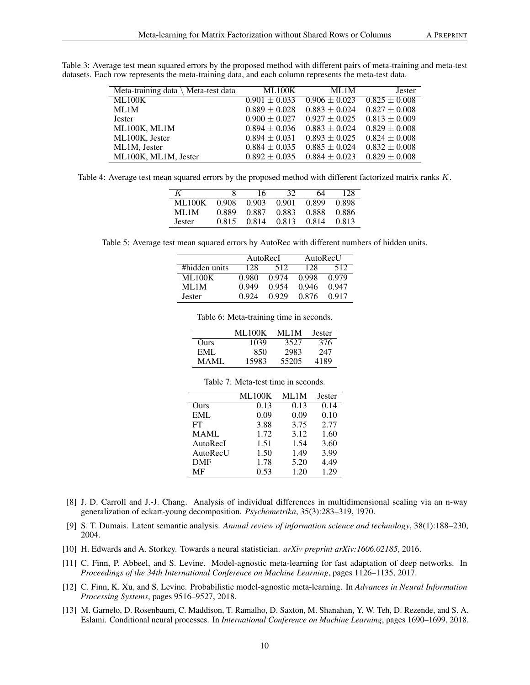<span id="page-9-5"></span>Table 3: Average test mean squared errors by the proposed method with different pairs of meta-training and meta-test datasets. Each row represents the meta-training data, and each column represents the meta-test data.

| Meta-training data $\setminus$ Meta-test data | ML100K            | ML1M              | <b>Jester</b>            |
|-----------------------------------------------|-------------------|-------------------|--------------------------|
| ML100K                                        | $0.901 \pm 0.033$ | $0.906 \pm 0.023$ | $\sqrt{0.825} \pm 0.008$ |
| ML1M                                          | $0.889 \pm 0.028$ | $0.883 \pm 0.024$ | $0.827 \pm 0.008$        |
| <b>Jester</b>                                 | $0.900 \pm 0.027$ | $0.927 \pm 0.025$ | $0.813 \pm 0.009$        |
| ML100K, ML1M                                  | $0.894 \pm 0.036$ | $0.883 \pm 0.024$ | $0.829 \pm 0.008$        |
| ML100K, Jester                                | $0.894 \pm 0.031$ | $0.893 \pm 0.025$ | $0.824 \pm 0.008$        |
| ML1M, Jester                                  | $0.884 \pm 0.035$ | $0.885 \pm 0.024$ | $0.832 \pm 0.008$        |
| ML100K, ML1M, Jester                          | $0.892 \pm 0.035$ | $0.884 \pm 0.023$ | $0.829 \pm 0.008$        |

<span id="page-9-6"></span>Table 4: Average test mean squared errors by the proposed method with different factorized matrix ranks K.

| K      |       | 16.   | 32                      | 64    | 128     |
|--------|-------|-------|-------------------------|-------|---------|
| ML100K |       |       | 0.908 0.903 0.901 0.899 |       | 0.898   |
| MI 1M  | 0.889 | 0.887 | 0.883                   | 0.888 | - 0.886 |
| Jester | 0.815 |       | 0.814 0.813             | 0.814 | 0.813   |

<span id="page-9-8"></span><span id="page-9-7"></span>Table 5: Average test mean squared errors by AutoRec with different numbers of hidden units.

|                | AutoRecl |       | AutoRecU |       |
|----------------|----------|-------|----------|-------|
| #hidden units# | 128      | 512   | 128      | 512   |
| ML100K         | 0.980    | 0.974 | 0.998    | 0.979 |
| MI.M           | 0.949    | 0.954 | 0.946    | 0.947 |
| Jester         | 0.924    | 0.929 | 0.876    | 0.917 |

Table 6: Meta-training time in seconds.

|        | ML 100K | ML 1M | Jester |
|--------|---------|-------|--------|
| Ours   | 1039    | 3527  | 376    |
| EML.   | 850     | 2983  | 247    |
| MAMI . | 15983   | 55205 | 4189   |

|            | <b>ML100K</b> | ML1M | Jester |
|------------|---------------|------|--------|
| Ours       | 0.13          | 0.13 | 0.14   |
| <b>EML</b> | 0.09          | 0.09 | 0.10   |
| FT         | 3.88          | 3.75 | 2.77   |
| MAML       | 1.72          | 3.12 | 1.60   |
| AutoRecI   | 1.51          | 1.54 | 3.60   |
| AutoRecU   | 1.50          | 1.49 | 3.99   |
| <b>DMF</b> | 1.78          | 5.20 | 4.49   |
| MF         | 0.53          | 1.20 | 1.29   |

Table 7: Meta-test time in seconds.

- <span id="page-9-10"></span><span id="page-9-9"></span>[8] J. D. Carroll and J.-J. Chang. Analysis of individual differences in multidimensional scaling via an n-way generalization of eckart-young decomposition. *Psychometrika*, 35(3):283–319, 1970.
- <span id="page-9-0"></span>[9] S. T. Dumais. Latent semantic analysis. *Annual review of information science and technology*, 38(1):188–230, 2004.
- <span id="page-9-3"></span>[10] H. Edwards and A. Storkey. Towards a neural statistician. *arXiv preprint arXiv:1606.02185*, 2016.
- <span id="page-9-1"></span>[11] C. Finn, P. Abbeel, and S. Levine. Model-agnostic meta-learning for fast adaptation of deep networks. In *Proceedings of the 34th International Conference on Machine Learning*, pages 1126–1135, 2017.
- <span id="page-9-2"></span>[12] C. Finn, K. Xu, and S. Levine. Probabilistic model-agnostic meta-learning. In *Advances in Neural Information Processing Systems*, pages 9516–9527, 2018.
- <span id="page-9-4"></span>[13] M. Garnelo, D. Rosenbaum, C. Maddison, T. Ramalho, D. Saxton, M. Shanahan, Y. W. Teh, D. Rezende, and S. A. Eslami. Conditional neural processes. In *International Conference on Machine Learning*, pages 1690–1699, 2018.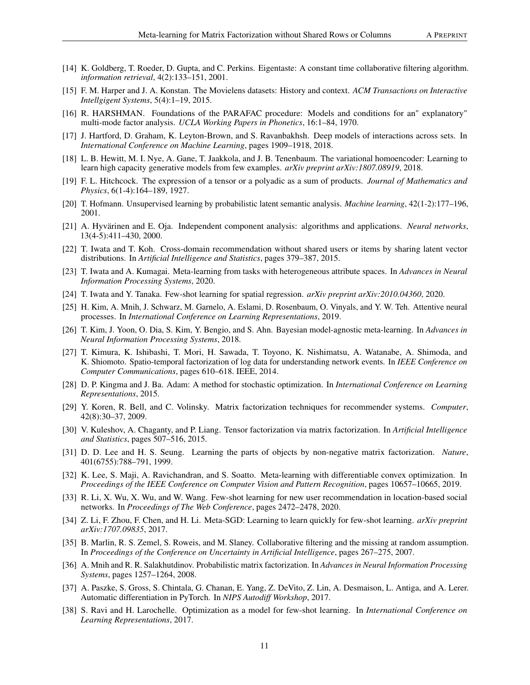- <span id="page-10-18"></span>[14] K. Goldberg, T. Roeder, D. Gupta, and C. Perkins. Eigentaste: A constant time collaborative filtering algorithm. *information retrieval*, 4(2):133–151, 2001.
- <span id="page-10-17"></span>[15] F. M. Harper and J. A. Konstan. The Movielens datasets: History and context. *ACM Transactions on Interactive Intellgigent Systems*, 5(4):1–19, 2015.
- <span id="page-10-22"></span>[16] R. HARSHMAN. Foundations of the PARAFAC procedure: Models and conditions for an" explanatory" multi-mode factor analysis. *UCLA Working Papers in Phonetics*, 16:1–84, 1970.
- <span id="page-10-4"></span>[17] J. Hartford, D. Graham, K. Leyton-Brown, and S. Ravanbakhsh. Deep models of interactions across sets. In *International Conference on Machine Learning*, pages 1909–1918, 2018.
- <span id="page-10-10"></span>[18] L. B. Hewitt, M. I. Nye, A. Gane, T. Jaakkola, and J. B. Tenenbaum. The variational homoencoder: Learning to learn high capacity generative models from few examples. *arXiv preprint arXiv:1807.08919*, 2018.
- <span id="page-10-21"></span>[19] F. L. Hitchcock. The expression of a tensor or a polyadic as a sum of products. *Journal of Mathematics and Physics*, 6(1-4):164–189, 1927.
- <span id="page-10-2"></span>[20] T. Hofmann. Unsupervised learning by probabilistic latent semantic analysis. *Machine learning*, 42(1-2):177–196, 2001.
- <span id="page-10-24"></span>[21] A. Hyvärinen and E. Oja. Independent component analysis: algorithms and applications. *Neural networks*, 13(4-5):411–430, 2000.
- <span id="page-10-14"></span>[22] T. Iwata and T. Koh. Cross-domain recommendation without shared users or items by sharing latent vector distributions. In *Artificial Intelligence and Statistics*, pages 379–387, 2015.
- <span id="page-10-13"></span>[23] T. Iwata and A. Kumagai. Meta-learning from tasks with heterogeneous attribute spaces. In *Advances in Neural Information Processing Systems*, 2020.
- <span id="page-10-12"></span>[24] T. Iwata and Y. Tanaka. Few-shot learning for spatial regression. *arXiv preprint arXiv:2010.04360*, 2020.
- <span id="page-10-9"></span>[25] H. Kim, A. Mnih, J. Schwarz, M. Garnelo, A. Eslami, D. Rosenbaum, O. Vinyals, and Y. W. Teh. Attentive neural processes. In *International Conference on Learning Representations*, 2019.
- <span id="page-10-8"></span>[26] T. Kim, J. Yoon, O. Dia, S. Kim, Y. Bengio, and S. Ahn. Bayesian model-agnostic meta-learning. In *Advances in Neural Information Processing Systems*, 2018.
- <span id="page-10-3"></span>[27] T. Kimura, K. Ishibashi, T. Mori, H. Sawada, T. Toyono, K. Nishimatsu, A. Watanabe, A. Shimoda, and K. Shiomoto. Spatio-temporal factorization of log data for understanding network events. In *IEEE Conference on Computer Communications*, pages 610–618. IEEE, 2014.
- <span id="page-10-19"></span>[28] D. P. Kingma and J. Ba. Adam: A method for stochastic optimization. In *International Conference on Learning Representations*, 2015.
- <span id="page-10-1"></span>[29] Y. Koren, R. Bell, and C. Volinsky. Matrix factorization techniques for recommender systems. *Computer*, 42(8):30–37, 2009.
- <span id="page-10-5"></span>[30] V. Kuleshov, A. Chaganty, and P. Liang. Tensor factorization via matrix factorization. In *Artificial Intelligence and Statistics*, pages 507–516, 2015.
- <span id="page-10-23"></span>[31] D. D. Lee and H. S. Seung. Learning the parts of objects by non-negative matrix factorization. *Nature*, 401(6755):788–791, 1999.
- <span id="page-10-11"></span>[32] K. Lee, S. Maji, A. Ravichandran, and S. Soatto. Meta-learning with differentiable convex optimization. In *Proceedings of the IEEE Conference on Computer Vision and Pattern Recognition*, pages 10657–10665, 2019.
- <span id="page-10-15"></span>[33] R. Li, X. Wu, X. Wu, and W. Wang. Few-shot learning for new user recommendation in location-based social networks. In *Proceedings of The Web Conference*, pages 2472–2478, 2020.
- <span id="page-10-7"></span>[34] Z. Li, F. Zhou, F. Chen, and H. Li. Meta-SGD: Learning to learn quickly for few-shot learning. *arXiv preprint arXiv:1707.09835*, 2017.
- <span id="page-10-16"></span>[35] B. Marlin, R. S. Zemel, S. Roweis, and M. Slaney. Collaborative filtering and the missing at random assumption. In *Proceedings of the Conference on Uncertainty in Artificial Intelligence*, pages 267–275, 2007.
- <span id="page-10-0"></span>[36] A. Mnih and R. R. Salakhutdinov. Probabilistic matrix factorization. In *Advances in Neural Information Processing Systems*, pages 1257–1264, 2008.
- <span id="page-10-20"></span>[37] A. Paszke, S. Gross, S. Chintala, G. Chanan, E. Yang, Z. DeVito, Z. Lin, A. Desmaison, L. Antiga, and A. Lerer. Automatic differentiation in PyTorch. In *NIPS Autodiff Workshop*, 2017.
- <span id="page-10-6"></span>[38] S. Ravi and H. Larochelle. Optimization as a model for few-shot learning. In *International Conference on Learning Representations*, 2017.